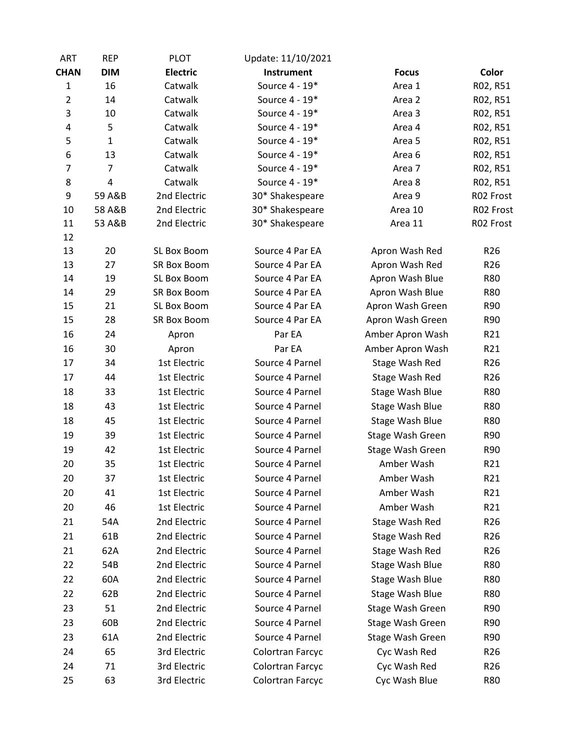| <b>ART</b>     | <b>REP</b>     | <b>PLOT</b>        | Update: 11/10/2021 |                  |                 |
|----------------|----------------|--------------------|--------------------|------------------|-----------------|
| <b>CHAN</b>    | <b>DIM</b>     | <b>Electric</b>    | Instrument         | <b>Focus</b>     | Color           |
| $\mathbf{1}$   | 16             | Catwalk            | Source 4 - 19*     | Area 1           | R02, R51        |
| $\overline{2}$ | 14             | Catwalk            | Source 4 - 19*     | Area 2           | R02, R51        |
| 3              | 10             | Catwalk            | Source 4 - 19*     | Area 3           | R02, R51        |
| 4              | 5              | Catwalk            | Source 4 - 19*     | Area 4           | R02, R51        |
| 5              | $\mathbf{1}$   | Catwalk            | Source 4 - 19*     | Area 5           | R02, R51        |
| 6              | 13             | Catwalk            | Source 4 - 19*     | Area 6           | R02, R51        |
| $\overline{7}$ | $\overline{7}$ | Catwalk            | Source 4 - 19*     | Area 7           | R02, R51        |
| 8              | 4              | Catwalk            | Source 4 - 19*     | Area 8           | R02, R51        |
| 9              | 59 A&B         | 2nd Electric       | 30* Shakespeare    | Area 9           | R02 Frost       |
| 10             | 58 A&B         | 2nd Electric       | 30* Shakespeare    | Area 10          | R02 Frost       |
| 11             | 53 A&B         | 2nd Electric       | 30* Shakespeare    | Area 11          | R02 Frost       |
| 12             |                |                    |                    |                  |                 |
| 13             | 20             | SL Box Boom        | Source 4 Par EA    | Apron Wash Red   | R <sub>26</sub> |
| 13             | 27             | <b>SR Box Boom</b> | Source 4 Par EA    | Apron Wash Red   | R <sub>26</sub> |
| 14             | 19             | SL Box Boom        | Source 4 Par EA    | Apron Wash Blue  | <b>R80</b>      |
| 14             | 29             | <b>SR Box Boom</b> | Source 4 Par EA    | Apron Wash Blue  | <b>R80</b>      |
| 15             | 21             | SL Box Boom        | Source 4 Par EA    | Apron Wash Green | R90             |
| 15             | 28             | SR Box Boom        | Source 4 Par EA    | Apron Wash Green | R90             |
| 16             | 24             | Apron              | Par EA             | Amber Apron Wash | R21             |
| 16             | 30             | Apron              | Par EA             | Amber Apron Wash | R21             |
| 17             | 34             | 1st Electric       | Source 4 Parnel    | Stage Wash Red   | R <sub>26</sub> |
| 17             | 44             | 1st Electric       | Source 4 Parnel    | Stage Wash Red   | R <sub>26</sub> |
| 18             | 33             | 1st Electric       | Source 4 Parnel    | Stage Wash Blue  | <b>R80</b>      |
| 18             | 43             | 1st Electric       | Source 4 Parnel    | Stage Wash Blue  | <b>R80</b>      |
| 18             | 45             | 1st Electric       | Source 4 Parnel    | Stage Wash Blue  | <b>R80</b>      |
| 19             | 39             | 1st Electric       | Source 4 Parnel    | Stage Wash Green | R90             |
| 19             | 42             | 1st Electric       | Source 4 Parnel    | Stage Wash Green | R90             |
| 20             | 35             | 1st Electric       | Source 4 Parnel    | Amber Wash       | R21             |
| 20             | 37             | 1st Electric       | Source 4 Parnel    | Amber Wash       | R21             |
| 20             | 41             | 1st Electric       | Source 4 Parnel    | Amber Wash       | R21             |
| 20             | 46             | 1st Electric       | Source 4 Parnel    | Amber Wash       | R21             |
| 21             | 54A            | 2nd Electric       | Source 4 Parnel    | Stage Wash Red   | R <sub>26</sub> |
| 21             | 61B            | 2nd Electric       | Source 4 Parnel    | Stage Wash Red   | R <sub>26</sub> |
| 21             | 62A            | 2nd Electric       | Source 4 Parnel    | Stage Wash Red   | R <sub>26</sub> |
| 22             | 54B            | 2nd Electric       | Source 4 Parnel    | Stage Wash Blue  | R80             |
| 22             | 60A            | 2nd Electric       | Source 4 Parnel    | Stage Wash Blue  | R80             |
| 22             | 62B            | 2nd Electric       | Source 4 Parnel    | Stage Wash Blue  | R80             |
| 23             | 51             | 2nd Electric       | Source 4 Parnel    | Stage Wash Green | R90             |
| 23             | 60B            | 2nd Electric       | Source 4 Parnel    | Stage Wash Green | R90             |
| 23             | 61A            | 2nd Electric       | Source 4 Parnel    | Stage Wash Green | R90             |
| 24             | 65             | 3rd Electric       | Colortran Farcyc   | Cyc Wash Red     | R <sub>26</sub> |
| 24             | 71             |                    |                    |                  |                 |
|                |                | 3rd Electric       | Colortran Farcyc   | Cyc Wash Red     | R <sub>26</sub> |
| 25             | 63             | 3rd Electric       | Colortran Farcyc   | Cyc Wash Blue    | <b>R80</b>      |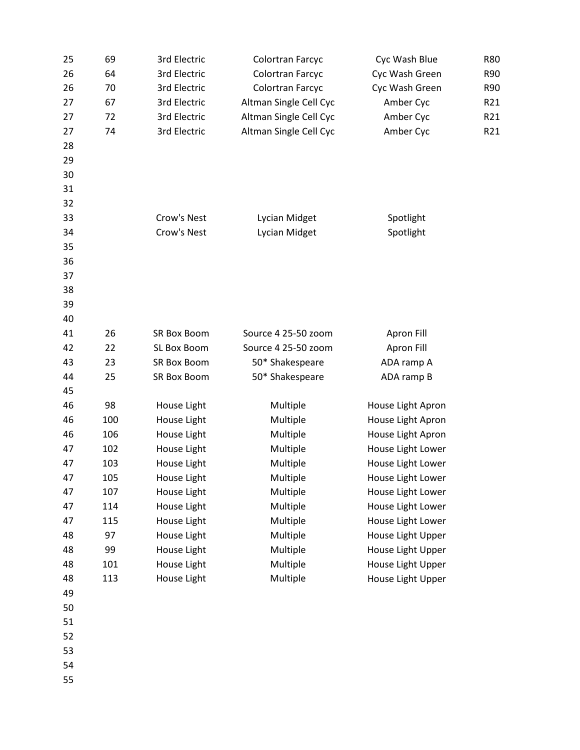| 25 | 69  | 3rd Electric       | Colortran Farcyc       | Cyc Wash Blue     | R80             |
|----|-----|--------------------|------------------------|-------------------|-----------------|
| 26 | 64  | 3rd Electric       | Colortran Farcyc       | Cyc Wash Green    | R90             |
| 26 | 70  | 3rd Electric       | Colortran Farcyc       | Cyc Wash Green    | R90             |
| 27 | 67  | 3rd Electric       | Altman Single Cell Cyc | Amber Cyc         | R21             |
| 27 | 72  | 3rd Electric       | Altman Single Cell Cyc | Amber Cyc         | R <sub>21</sub> |
| 27 | 74  | 3rd Electric       | Altman Single Cell Cyc | Amber Cyc         | R21             |
| 28 |     |                    |                        |                   |                 |
| 29 |     |                    |                        |                   |                 |
| 30 |     |                    |                        |                   |                 |
| 31 |     |                    |                        |                   |                 |
| 32 |     |                    |                        |                   |                 |
| 33 |     | Crow's Nest        | Lycian Midget          | Spotlight         |                 |
| 34 |     | Crow's Nest        | Lycian Midget          | Spotlight         |                 |
| 35 |     |                    |                        |                   |                 |
| 36 |     |                    |                        |                   |                 |
| 37 |     |                    |                        |                   |                 |
| 38 |     |                    |                        |                   |                 |
| 39 |     |                    |                        |                   |                 |
| 40 |     |                    |                        |                   |                 |
| 41 | 26  | <b>SR Box Boom</b> | Source 4 25-50 zoom    | Apron Fill        |                 |
| 42 | 22  | SL Box Boom        | Source 4 25-50 zoom    | Apron Fill        |                 |
| 43 | 23  | SR Box Boom        | 50* Shakespeare        | ADA ramp A        |                 |
| 44 | 25  | SR Box Boom        | 50* Shakespeare        | ADA ramp B        |                 |
| 45 |     |                    |                        |                   |                 |
| 46 | 98  | House Light        | Multiple               | House Light Apron |                 |
| 46 | 100 | House Light        | Multiple               | House Light Apron |                 |
| 46 | 106 | House Light        | Multiple               | House Light Apron |                 |
| 47 | 102 | House Light        | Multiple               | House Light Lower |                 |
| 47 | 103 | House Light        | Multiple               | House Light Lower |                 |
| 47 | 105 | House Light        | Multiple               | House Light Lower |                 |
| 47 | 107 | House Light        | Multiple               | House Light Lower |                 |
| 47 | 114 | House Light        | Multiple               | House Light Lower |                 |
| 47 | 115 | House Light        | Multiple               | House Light Lower |                 |
| 48 | 97  | House Light        | Multiple               | House Light Upper |                 |
| 48 | 99  | House Light        | Multiple               | House Light Upper |                 |
| 48 | 101 | House Light        | Multiple               | House Light Upper |                 |
| 48 | 113 | House Light        | Multiple               | House Light Upper |                 |
| 49 |     |                    |                        |                   |                 |
| 50 |     |                    |                        |                   |                 |
| 51 |     |                    |                        |                   |                 |
| 52 |     |                    |                        |                   |                 |
| 53 |     |                    |                        |                   |                 |
| 54 |     |                    |                        |                   |                 |
| 55 |     |                    |                        |                   |                 |
|    |     |                    |                        |                   |                 |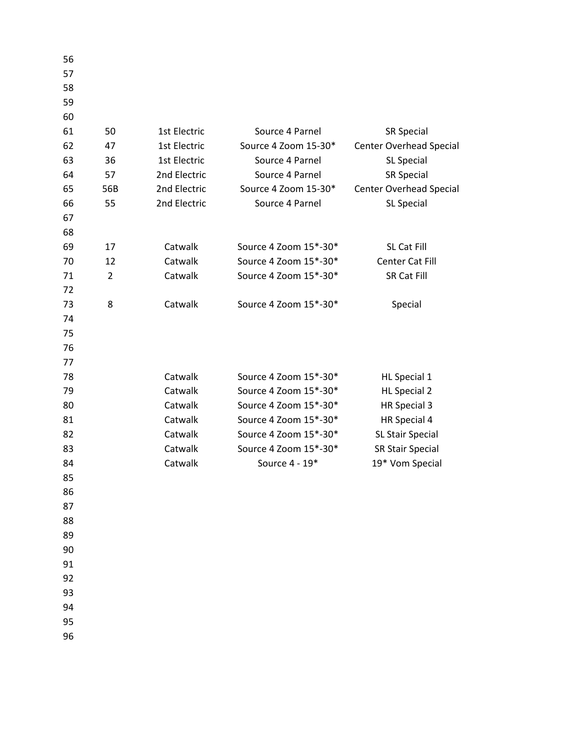| 56 |                |              |                       |                                |
|----|----------------|--------------|-----------------------|--------------------------------|
| 57 |                |              |                       |                                |
| 58 |                |              |                       |                                |
| 59 |                |              |                       |                                |
| 60 |                |              |                       |                                |
| 61 | 50             | 1st Electric | Source 4 Parnel       | <b>SR Special</b>              |
| 62 | 47             | 1st Electric | Source 4 Zoom 15-30*  | <b>Center Overhead Special</b> |
| 63 | 36             | 1st Electric | Source 4 Parnel       | SL Special                     |
| 64 | 57             | 2nd Electric | Source 4 Parnel       | <b>SR Special</b>              |
| 65 | 56B            | 2nd Electric | Source 4 Zoom 15-30*  | <b>Center Overhead Special</b> |
| 66 | 55             | 2nd Electric | Source 4 Parnel       | SL Special                     |
| 67 |                |              |                       |                                |
| 68 |                |              |                       |                                |
| 69 | 17             | Catwalk      | Source 4 Zoom 15*-30* | SL Cat Fill                    |
| 70 | 12             | Catwalk      | Source 4 Zoom 15*-30* | Center Cat Fill                |
| 71 | $\overline{2}$ | Catwalk      | Source 4 Zoom 15*-30* | <b>SR Cat Fill</b>             |
| 72 |                |              |                       |                                |
| 73 | 8              | Catwalk      | Source 4 Zoom 15*-30* | Special                        |
| 74 |                |              |                       |                                |
| 75 |                |              |                       |                                |
| 76 |                |              |                       |                                |
| 77 |                |              |                       |                                |
| 78 |                | Catwalk      | Source 4 Zoom 15*-30* | HL Special 1                   |
| 79 |                | Catwalk      | Source 4 Zoom 15*-30* | <b>HL Special 2</b>            |
| 80 |                | Catwalk      | Source 4 Zoom 15*-30* | HR Special 3                   |
| 81 |                | Catwalk      | Source 4 Zoom 15*-30* | HR Special 4                   |
| 82 |                | Catwalk      | Source 4 Zoom 15*-30* | SL Stair Special               |
| 83 |                | Catwalk      | Source 4 Zoom 15*-30* | <b>SR Stair Special</b>        |
| 84 |                | Catwalk      | Source 4 - 19*        | 19* Vom Special                |
| 85 |                |              |                       |                                |
| 86 |                |              |                       |                                |
| 87 |                |              |                       |                                |
| 88 |                |              |                       |                                |
| 89 |                |              |                       |                                |
| 90 |                |              |                       |                                |
| 91 |                |              |                       |                                |
| 92 |                |              |                       |                                |
| 93 |                |              |                       |                                |
| 94 |                |              |                       |                                |
| 95 |                |              |                       |                                |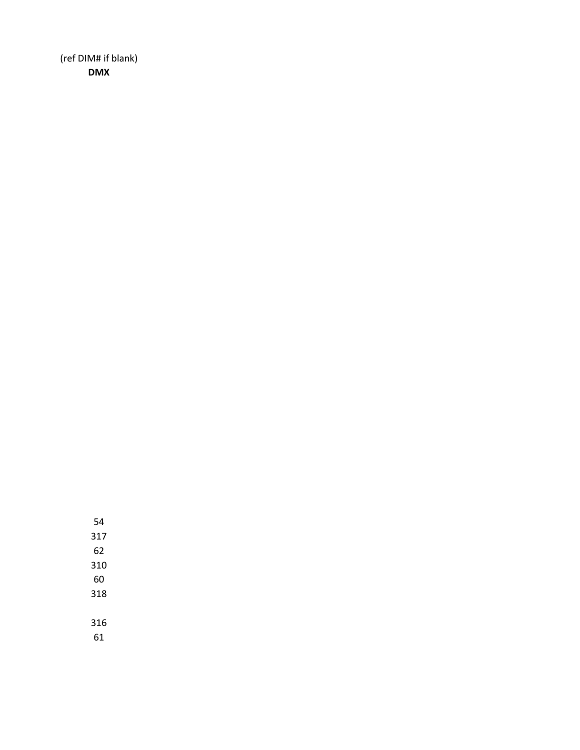(ref DIM# if blank) **DMX**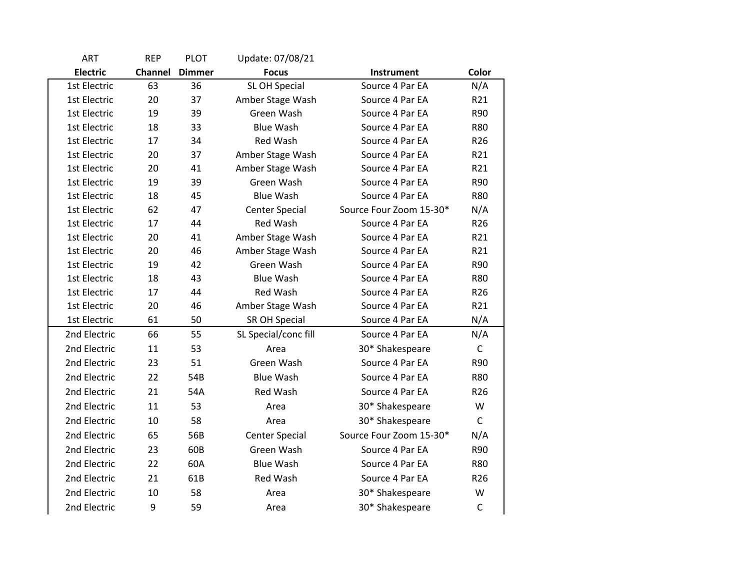| <b>ART</b>      | <b>REP</b> | <b>PLOT</b>   | Update: 07/08/21      |                         |                 |
|-----------------|------------|---------------|-----------------------|-------------------------|-----------------|
| <b>Electric</b> | Channel    | <b>Dimmer</b> | <b>Focus</b>          | <b>Instrument</b>       | Color           |
| 1st Electric    | 63         | 36            | <b>SL OH Special</b>  | Source 4 Par EA         | N/A             |
| 1st Electric    | 20         | 37            | Amber Stage Wash      | Source 4 Par EA         | R21             |
| 1st Electric    | 19         | 39            | Green Wash            | Source 4 Par EA         | R90             |
| 1st Electric    | 18         | 33            | <b>Blue Wash</b>      | Source 4 Par EA         | <b>R80</b>      |
| 1st Electric    | 17         | 34            | Red Wash              | Source 4 Par EA         | R <sub>26</sub> |
| 1st Electric    | 20         | 37            | Amber Stage Wash      | Source 4 Par EA         | R21             |
| 1st Electric    | 20         | 41            | Amber Stage Wash      | Source 4 Par EA         | R21             |
| 1st Electric    | 19         | 39            | Green Wash            | Source 4 Par EA         | R90             |
| 1st Electric    | 18         | 45            | <b>Blue Wash</b>      | Source 4 Par EA         | <b>R80</b>      |
| 1st Electric    | 62         | 47            | <b>Center Special</b> | Source Four Zoom 15-30* | N/A             |
| 1st Electric    | 17         | 44            | <b>Red Wash</b>       | Source 4 Par EA         | R <sub>26</sub> |
| 1st Electric    | 20         | 41            | Amber Stage Wash      | Source 4 Par EA         | R21             |
| 1st Electric    | 20         | 46            | Amber Stage Wash      | Source 4 Par EA         | R21             |
| 1st Electric    | 19         | 42            | Green Wash            | Source 4 Par EA         | <b>R90</b>      |
| 1st Electric    | 18         | 43            | <b>Blue Wash</b>      | Source 4 Par EA         | <b>R80</b>      |
| 1st Electric    | 17         | 44            | <b>Red Wash</b>       | Source 4 Par EA         | R <sub>26</sub> |
| 1st Electric    | 20         | 46            | Amber Stage Wash      | Source 4 Par EA         | R21             |
| 1st Electric    | 61         | 50            | SR OH Special         | Source 4 Par EA         | N/A             |
| 2nd Electric    | 66         | 55            | SL Special/conc fill  | Source 4 Par EA         | N/A             |
| 2nd Electric    | 11         | 53            | Area                  | 30* Shakespeare         | C               |
| 2nd Electric    | 23         | 51            | Green Wash            | Source 4 Par EA         | R90             |
| 2nd Electric    | 22         | 54B           | <b>Blue Wash</b>      | Source 4 Par EA         | <b>R80</b>      |
| 2nd Electric    | 21         | 54A           | Red Wash              | Source 4 Par EA         | R <sub>26</sub> |
| 2nd Electric    | 11         | 53            | Area                  | 30* Shakespeare         | W               |
| 2nd Electric    | 10         | 58            | Area                  | 30* Shakespeare         | $\mathsf{C}$    |
| 2nd Electric    | 65         | 56B           | <b>Center Special</b> | Source Four Zoom 15-30* | N/A             |
| 2nd Electric    | 23         | 60B           | Green Wash            | Source 4 Par EA         | R90             |
| 2nd Electric    | 22         | 60A           | <b>Blue Wash</b>      | Source 4 Par EA         | <b>R80</b>      |
| 2nd Electric    | 21         | 61B           | <b>Red Wash</b>       | Source 4 Par EA         | R <sub>26</sub> |
| 2nd Electric    | 10         | 58            | Area                  | 30* Shakespeare         | W               |
| 2nd Electric    | 9          | 59            | Area                  | 30* Shakespeare         | $\mathsf{C}$    |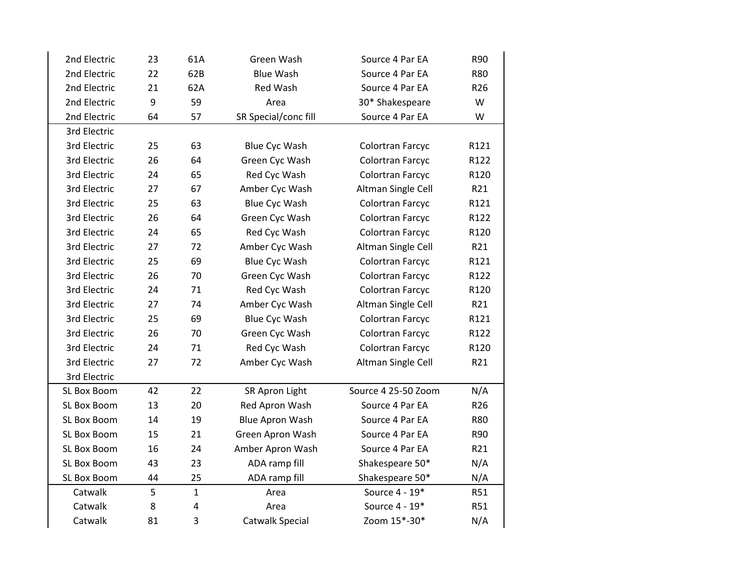| 2nd Electric | 23 | 61A          | Green Wash             | Source 4 Par EA     | R90             |
|--------------|----|--------------|------------------------|---------------------|-----------------|
| 2nd Electric | 22 | 62B          | <b>Blue Wash</b>       | Source 4 Par EA     | <b>R80</b>      |
| 2nd Electric | 21 | 62A          | Red Wash               | Source 4 Par EA     | R <sub>26</sub> |
| 2nd Electric | 9  | 59           | Area                   | 30* Shakespeare     | W               |
| 2nd Electric | 64 | 57           | SR Special/conc fill   | Source 4 Par EA     | W               |
| 3rd Electric |    |              |                        |                     |                 |
| 3rd Electric | 25 | 63           | <b>Blue Cyc Wash</b>   | Colortran Farcyc    | R121            |
| 3rd Electric | 26 | 64           | Green Cyc Wash         | Colortran Farcyc    | R122            |
| 3rd Electric | 24 | 65           | Red Cyc Wash           | Colortran Farcyc    | R120            |
| 3rd Electric | 27 | 67           | Amber Cyc Wash         | Altman Single Cell  | R21             |
| 3rd Electric | 25 | 63           | Blue Cyc Wash          | Colortran Farcyc    | R121            |
| 3rd Electric | 26 | 64           | Green Cyc Wash         | Colortran Farcyc    | R122            |
| 3rd Electric | 24 | 65           | Red Cyc Wash           | Colortran Farcyc    | R120            |
| 3rd Electric | 27 | 72           | Amber Cyc Wash         | Altman Single Cell  | R21             |
| 3rd Electric | 25 | 69           | Blue Cyc Wash          | Colortran Farcyc    | R121            |
| 3rd Electric | 26 | 70           | Green Cyc Wash         | Colortran Farcyc    | R122            |
| 3rd Electric | 24 | 71           | Red Cyc Wash           | Colortran Farcyc    | R120            |
| 3rd Electric | 27 | 74           | Amber Cyc Wash         | Altman Single Cell  | R21             |
| 3rd Electric | 25 | 69           | <b>Blue Cyc Wash</b>   | Colortran Farcyc    | R121            |
| 3rd Electric | 26 | 70           | Green Cyc Wash         | Colortran Farcyc    | R122            |
| 3rd Electric | 24 | 71           | Red Cyc Wash           | Colortran Farcyc    | R120            |
| 3rd Electric | 27 | 72           | Amber Cyc Wash         | Altman Single Cell  | R21             |
| 3rd Electric |    |              |                        |                     |                 |
| SL Box Boom  | 42 | 22           | SR Apron Light         | Source 4 25-50 Zoom | N/A             |
| SL Box Boom  | 13 | 20           | Red Apron Wash         | Source 4 Par EA     | R <sub>26</sub> |
| SL Box Boom  | 14 | 19           | <b>Blue Apron Wash</b> | Source 4 Par EA     | <b>R80</b>      |
| SL Box Boom  | 15 | 21           | Green Apron Wash       | Source 4 Par EA     | R90             |
| SL Box Boom  | 16 | 24           | Amber Apron Wash       | Source 4 Par EA     | R21             |
| SL Box Boom  | 43 | 23           | ADA ramp fill          | Shakespeare 50*     | N/A             |
| SL Box Boom  | 44 | 25           | ADA ramp fill          | Shakespeare 50*     | N/A             |
| Catwalk      | 5  | $\mathbf{1}$ | Area                   | Source 4 - 19*      | R51             |
| Catwalk      | 8  | $\pmb{4}$    | Area                   | Source 4 - 19*      | <b>R51</b>      |
| Catwalk      | 81 | 3            | Catwalk Special        | Zoom 15*-30*        | N/A             |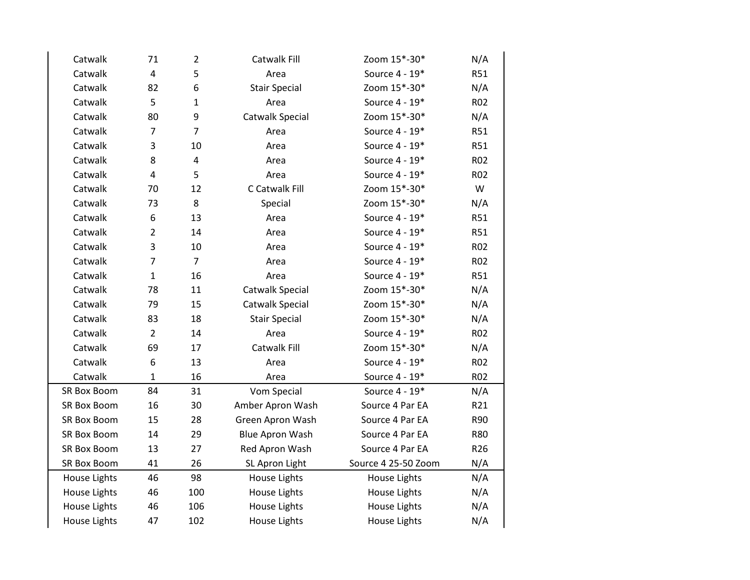| Catwalk            | 71                      | $\overline{2}$          | Catwalk Fill           | Zoom 15*-30*        | N/A        |
|--------------------|-------------------------|-------------------------|------------------------|---------------------|------------|
| Catwalk            | $\overline{\mathbf{4}}$ | 5                       | Area                   | Source 4 - 19*      | <b>R51</b> |
| Catwalk            | 82                      | 6                       | <b>Stair Special</b>   | Zoom 15*-30*        | N/A        |
| Catwalk            | 5                       | $\mathbf{1}$            | Area                   | Source 4 - 19*      | R02        |
| Catwalk            | 80                      | 9                       | Catwalk Special        | Zoom 15*-30*        | N/A        |
| Catwalk            | $\overline{7}$          | $\overline{7}$          | Area                   | Source 4 - 19*      | R51        |
| Catwalk            | 3                       | 10                      | Area                   | Source 4 - 19*      | <b>R51</b> |
| Catwalk            | 8                       | $\overline{\mathbf{4}}$ | Area                   | Source 4 - 19*      | <b>R02</b> |
| Catwalk            | $\overline{4}$          | 5                       | Area                   | Source 4 - 19*      | R02        |
| Catwalk            | 70                      | 12                      | C Catwalk Fill         | Zoom 15*-30*        | W          |
| Catwalk            | 73                      | 8                       | Special                | Zoom 15*-30*        | N/A        |
| Catwalk            | 6                       | 13                      | Area                   | Source 4 - 19*      | R51        |
| Catwalk            | $\overline{2}$          | 14                      | Area                   | Source 4 - 19*      | R51        |
| Catwalk            | 3                       | 10                      | Area                   | Source 4 - 19*      | R02        |
| Catwalk            | $\overline{7}$          | $\overline{7}$          | Area                   | Source 4 - 19*      | <b>R02</b> |
| Catwalk            | $\mathbf{1}$            | 16                      | Area                   | Source 4 - 19*      | R51        |
| Catwalk            | 78                      | 11                      | <b>Catwalk Special</b> | Zoom 15*-30*        | N/A        |
| Catwalk            | 79                      | 15                      | Catwalk Special        | Zoom 15*-30*        | N/A        |
| Catwalk            | 83                      | 18                      | <b>Stair Special</b>   | Zoom 15*-30*        | N/A        |
| Catwalk            | $\overline{2}$          | 14                      | Area                   | Source 4 - 19*      | <b>R02</b> |
| Catwalk            | 69                      | 17                      | Catwalk Fill           | Zoom 15*-30*        | N/A        |
| Catwalk            | 6                       | 13                      | Area                   | Source 4 - 19*      | R02        |
| Catwalk            | $\mathbf{1}$            | 16                      | Area                   | Source 4 - 19*      | <b>R02</b> |
| SR Box Boom        | 84                      | 31                      | Vom Special            | Source 4 - 19*      | N/A        |
| SR Box Boom        | 16                      | 30                      | Amber Apron Wash       | Source 4 Par EA     | R21        |
| SR Box Boom        | 15                      | 28                      | Green Apron Wash       | Source 4 Par EA     | R90        |
| <b>SR Box Boom</b> | 14                      | 29                      | <b>Blue Apron Wash</b> | Source 4 Par EA     | <b>R80</b> |
| SR Box Boom        | 13                      | 27                      | Red Apron Wash         | Source 4 Par EA     | R26        |
| SR Box Boom        | 41                      | 26                      | SL Apron Light         | Source 4 25-50 Zoom | N/A        |
| House Lights       | 46                      | 98                      | House Lights           | House Lights        | N/A        |
| House Lights       | 46                      | 100                     | House Lights           | House Lights        | N/A        |
| House Lights       | 46                      | 106                     | House Lights           | House Lights        | N/A        |
| House Lights       | 47                      | 102                     | House Lights           | House Lights        | N/A        |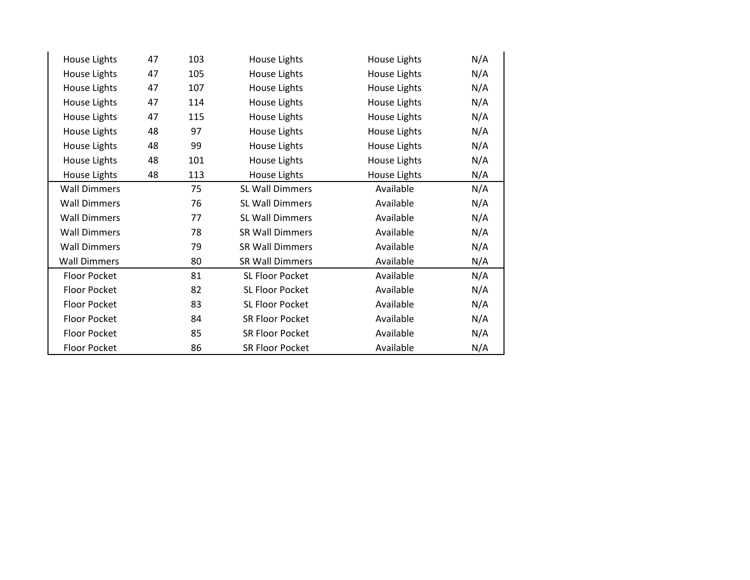| House Lights        | 47 | 103 | House Lights           | House Lights | N/A |
|---------------------|----|-----|------------------------|--------------|-----|
| House Lights        | 47 | 105 | House Lights           | House Lights | N/A |
| House Lights        | 47 | 107 | House Lights           | House Lights | N/A |
| House Lights        | 47 | 114 | House Lights           | House Lights | N/A |
| House Lights        | 47 | 115 | House Lights           | House Lights | N/A |
| House Lights        | 48 | 97  | House Lights           | House Lights | N/A |
| House Lights        | 48 | 99  | House Lights           | House Lights | N/A |
| House Lights        | 48 | 101 | House Lights           | House Lights | N/A |
| House Lights        | 48 | 113 | House Lights           | House Lights | N/A |
| <b>Wall Dimmers</b> |    | 75  | SL Wall Dimmers        | Available    | N/A |
| <b>Wall Dimmers</b> |    | 76  | SL Wall Dimmers        | Available    | N/A |
| <b>Wall Dimmers</b> |    | 77  | <b>SL Wall Dimmers</b> | Available    | N/A |
| <b>Wall Dimmers</b> |    | 78  | <b>SR Wall Dimmers</b> | Available    | N/A |
| <b>Wall Dimmers</b> |    | 79  | <b>SR Wall Dimmers</b> | Available    | N/A |
| <b>Wall Dimmers</b> |    | 80  | SR Wall Dimmers        | Available    | N/A |
| Floor Pocket        |    | 81  | SL Floor Pocket        | Available    | N/A |
| Floor Pocket        |    | 82  | SL Floor Pocket        | Available    | N/A |
| <b>Floor Pocket</b> |    | 83  | SL Floor Pocket        | Available    | N/A |
| <b>Floor Pocket</b> |    | 84  | SR Floor Pocket        | Available    | N/A |
| Floor Pocket        |    | 85  | <b>SR Floor Pocket</b> | Available    | N/A |
| Floor Pocket        |    | 86  | <b>SR Floor Pocket</b> | Available    | N/A |
|                     |    |     |                        |              |     |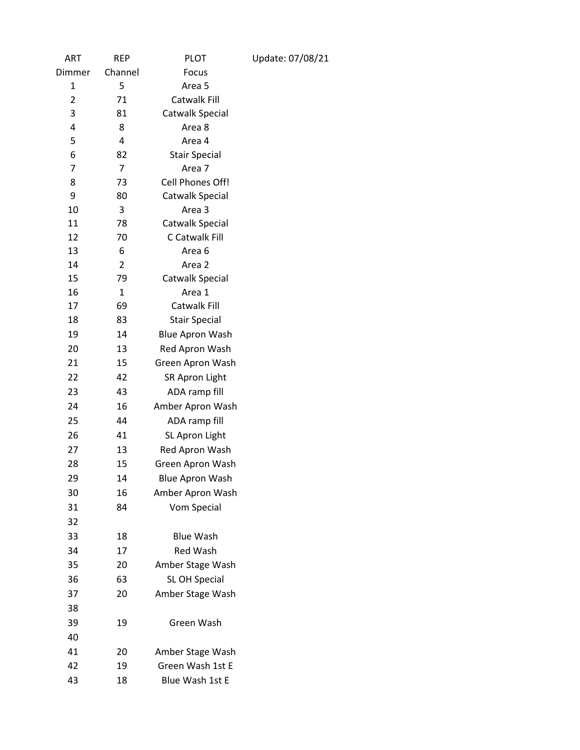| ART            | <b>REP</b>  | <b>PLOT</b>            | Update: 07/08/21 |
|----------------|-------------|------------------------|------------------|
| Dimmer         | Channel     | Focus                  |                  |
| 1              | 5           | Area 5                 |                  |
| $\overline{2}$ | 71          | Catwalk Fill           |                  |
| 3              | 81          | Catwalk Special        |                  |
| 4              | 8           | Area 8                 |                  |
| 5              | 4           | Area 4                 |                  |
| 6              | 82          | <b>Stair Special</b>   |                  |
| 7              | 7           | Area 7                 |                  |
| 8              | 73          | Cell Phones Off!       |                  |
| 9              | 80          | Catwalk Special        |                  |
| 10             | 3           | Area 3                 |                  |
| 11             | 78          | Catwalk Special        |                  |
| 12             | 70          | C Catwalk Fill         |                  |
| 13             | 6           | Area <sub>6</sub>      |                  |
| 14             | 2           | Area 2                 |                  |
| 15             | 79          | Catwalk Special        |                  |
| 16             | $\mathbf 1$ | Area 1                 |                  |
| 17             | 69          | Catwalk Fill           |                  |
| 18             | 83          | <b>Stair Special</b>   |                  |
| 19             | 14          | <b>Blue Apron Wash</b> |                  |
| 20             | 13          | Red Apron Wash         |                  |
| 21             | 15          | Green Apron Wash       |                  |
| 22             | 42          | <b>SR Apron Light</b>  |                  |
| 23             | 43          | ADA ramp fill          |                  |
| 24             | 16          | Amber Apron Wash       |                  |
| 25             | 44          | ADA ramp fill          |                  |
| 26             | 41          | SL Apron Light         |                  |
| 27             | 13          | Red Apron Wash         |                  |
| 28             | 15          | Green Apron Wash       |                  |
| 29             | 14          | <b>Blue Apron Wash</b> |                  |
| 30             | 16          | Amber Apron Wash       |                  |
| 31             | 84          | Vom Special            |                  |
| 32             |             |                        |                  |
| 33             | 18          | <b>Blue Wash</b>       |                  |
| 34             | 17          | <b>Red Wash</b>        |                  |
| 35             | 20          | Amber Stage Wash       |                  |
| 36             | 63          | SL OH Special          |                  |
| 37             | 20          | Amber Stage Wash       |                  |
| 38             |             |                        |                  |
| 39             | 19          | Green Wash             |                  |
| 40             |             |                        |                  |
| 41             | 20          | Amber Stage Wash       |                  |
| 42             | 19          | Green Wash 1st E       |                  |
| 43             | 18          | Blue Wash 1st E        |                  |
|                |             |                        |                  |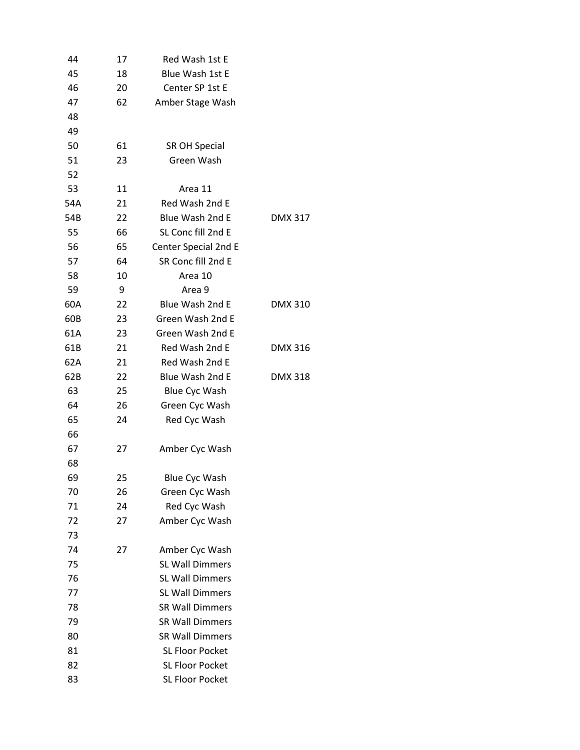| 44  | 17 | Red Wash 1st E         |                |
|-----|----|------------------------|----------------|
| 45  | 18 | Blue Wash 1st E        |                |
| 46  | 20 | Center SP 1st E        |                |
| 47  | 62 | Amber Stage Wash       |                |
| 48  |    |                        |                |
| 49  |    |                        |                |
| 50  | 61 | <b>SR OH Special</b>   |                |
| 51  | 23 | Green Wash             |                |
| 52  |    |                        |                |
| 53  | 11 | Area 11                |                |
| 54A | 21 | Red Wash 2nd E         |                |
| 54B | 22 | Blue Wash 2nd E        | <b>DMX 317</b> |
| 55  | 66 | SL Conc fill 2nd E     |                |
| 56  | 65 | Center Special 2nd E   |                |
| 57  | 64 | SR Conc fill 2nd E     |                |
| 58  | 10 | Area 10                |                |
| 59  | 9  | Area 9                 |                |
| 60A | 22 | Blue Wash 2nd E        | <b>DMX 310</b> |
| 60B | 23 | Green Wash 2nd E       |                |
| 61A | 23 | Green Wash 2nd E       |                |
| 61B | 21 | Red Wash 2nd E         | <b>DMX 316</b> |
| 62A | 21 | Red Wash 2nd E         |                |
| 62B | 22 | Blue Wash 2nd E        | <b>DMX 318</b> |
| 63  | 25 | <b>Blue Cyc Wash</b>   |                |
| 64  | 26 | Green Cyc Wash         |                |
| 65  | 24 | Red Cyc Wash           |                |
| 66  |    |                        |                |
| 67  | 27 | Amber Cyc Wash         |                |
| 68  |    |                        |                |
| 69  | 25 | <b>Blue Cyc Wash</b>   |                |
| 70  | 26 | Green Cyc Wash         |                |
| 71  | 24 | Red Cyc Wash           |                |
| 72  | 27 | Amber Cyc Wash         |                |
| 73  |    |                        |                |
| 74  | 27 | Amber Cyc Wash         |                |
| 75  |    | <b>SL Wall Dimmers</b> |                |
| 76  |    | <b>SL Wall Dimmers</b> |                |
| 77  |    | SL Wall Dimmers        |                |
| 78  |    | <b>SR Wall Dimmers</b> |                |
| 79  |    | <b>SR Wall Dimmers</b> |                |
| 80  |    | <b>SR Wall Dimmers</b> |                |
| 81  |    | <b>SL Floor Pocket</b> |                |
| 82  |    | SL Floor Pocket        |                |
| 83  |    | SL Floor Pocket        |                |